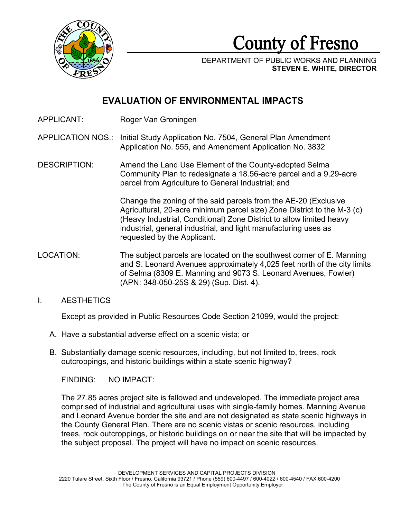

County of Fresno

DEPARTMENT OF PUBLIC WORKS AND PLANNING **STEVEN E. WHITE, DIRECTOR**

# **EVALUATION OF ENVIRONMENTAL IMPACTS**

APPLICANT: Roger Van Groningen

## APPLICATION NOS.: Initial Study Application No. 7504, General Plan Amendment Application No. 555, and Amendment Application No. 3832

DESCRIPTION: Amend the Land Use Element of the County-adopted Selma Community Plan to redesignate a 18.56-acre parcel and a 9.29-acre parcel from Agriculture to General Industrial; and

> Change the zoning of the said parcels from the AE-20 (Exclusive Agricultural, 20-acre minimum parcel size) Zone District to the M-3 (c) (Heavy Industrial, Conditional) Zone District to allow limited heavy industrial, general industrial, and light manufacturing uses as requested by the Applicant.

- LOCATION: The subject parcels are located on the southwest corner of E. Manning and S. Leonard Avenues approximately 4,025 feet north of the city limits of Selma (8309 E. Manning and 9073 S. Leonard Avenues, Fowler) (APN: 348-050-25S & 29) (Sup. Dist. 4).
- I. AESTHETICS

Except as provided in Public Resources Code Section 21099, would the project:

- A. Have a substantial adverse effect on a scenic vista; or
- B. Substantially damage scenic resources, including, but not limited to, trees, rock outcroppings, and historic buildings within a state scenic highway?

FINDING: NO IMPACT:

The 27.85 acres project site is fallowed and undeveloped. The immediate project area comprised of industrial and agricultural uses with single-family homes. Manning Avenue and Leonard Avenue border the site and are not designated as state scenic highways in the County General Plan. There are no scenic vistas or scenic resources, including trees, rock outcroppings, or historic buildings on or near the site that will be impacted by the subject proposal. The project will have no impact on scenic resources.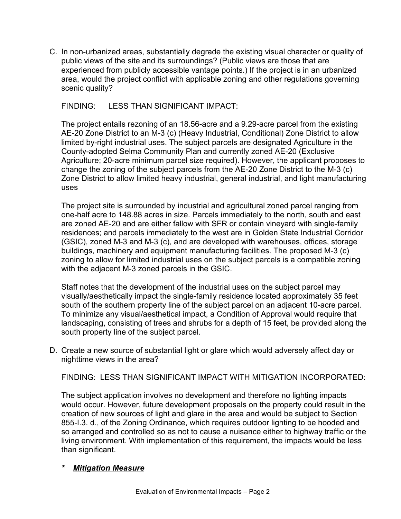C. In non-urbanized areas, substantially degrade the existing visual character or quality of public views of the site and its surroundings? (Public views are those that are experienced from publicly accessible vantage points.) If the project is in an urbanized area, would the project conflict with applicable zoning and other regulations governing scenic quality?

## FINDING: LESS THAN SIGNIFICANT IMPACT:

The project entails rezoning of an 18.56-acre and a 9.29-acre parcel from the existing AE-20 Zone District to an M-3 (c) (Heavy Industrial, Conditional) Zone District to allow limited by-right industrial uses. The subject parcels are designated Agriculture in the County-adopted Selma Community Plan and currently zoned AE-20 (Exclusive Agriculture; 20-acre minimum parcel size required). However, the applicant proposes to change the zoning of the subject parcels from the AE-20 Zone District to the M-3 (c) Zone District to allow limited heavy industrial, general industrial, and light manufacturing uses

The project site is surrounded by industrial and agricultural zoned parcel ranging from one-half acre to 148.88 acres in size. Parcels immediately to the north, south and east are zoned AE-20 and are either fallow with SFR or contain vineyard with single-family residences; and parcels immediately to the west are in Golden State Industrial Corridor (GSIC), zoned M-3 and M-3 (c), and are developed with warehouses, offices, storage buildings, machinery and equipment manufacturing facilities. The proposed M-3 (c) zoning to allow for limited industrial uses on the subject parcels is a compatible zoning with the adjacent M-3 zoned parcels in the GSIC.

Staff notes that the development of the industrial uses on the subject parcel may visually/aesthetically impact the single-family residence located approximately 35 feet south of the southern property line of the subject parcel on an adjacent 10-acre parcel. To minimize any visual/aesthetical impact, a Condition of Approval would require that landscaping, consisting of trees and shrubs for a depth of 15 feet, be provided along the south property line of the subject parcel.

D. Create a new source of substantial light or glare which would adversely affect day or nighttime views in the area?

FINDING: LESS THAN SIGNIFICANT IMPACT WITH MITIGATION INCORPORATED:

The subject application involves no development and therefore no lighting impacts would occur. However, future development proposals on the property could result in the creation of new sources of light and glare in the area and would be subject to Section 855-I.3. d., of the Zoning Ordinance, which requires outdoor lighting to be hooded and so arranged and controlled so as not to cause a nuisance either to highway traffic or the living environment. With implementation of this requirement, the impacts would be less than significant.

## *\* Mitigation Measure*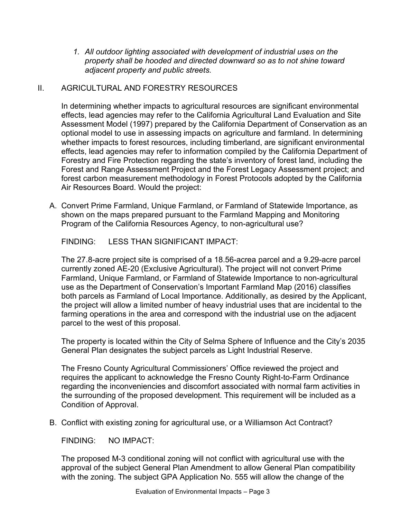*1. All outdoor lighting associated with development of industrial uses on the property shall be hooded and directed downward so as to not shine toward adjacent property and public streets.*

## II. AGRICULTURAL AND FORESTRY RESOURCES

In determining whether impacts to agricultural resources are significant environmental effects, lead agencies may refer to the California Agricultural Land Evaluation and Site Assessment Model (1997) prepared by the California Department of Conservation as an optional model to use in assessing impacts on agriculture and farmland. In determining whether impacts to forest resources, including timberland, are significant environmental effects, lead agencies may refer to information compiled by the California Department of Forestry and Fire Protection regarding the state's inventory of forest land, including the Forest and Range Assessment Project and the Forest Legacy Assessment project; and forest carbon measurement methodology in Forest Protocols adopted by the California Air Resources Board. Would the project:

A. Convert Prime Farmland, Unique Farmland, or Farmland of Statewide Importance, as shown on the maps prepared pursuant to the Farmland Mapping and Monitoring Program of the California Resources Agency, to non-agricultural use?

FINDING: LESS THAN SIGNIFICANT IMPACT:

The 27.8-acre project site is comprised of a 18.56-acrea parcel and a 9.29-acre parcel currently zoned AE-20 (Exclusive Agricultural). The project will not convert Prime Farmland, Unique Farmland, or Farmland of Statewide Importance to non-agricultural use as the Department of Conservation's Important Farmland Map (2016) classifies both parcels as Farmland of Local Importance. Additionally, as desired by the Applicant, the project will allow a limited number of heavy industrial uses that are incidental to the farming operations in the area and correspond with the industrial use on the adjacent parcel to the west of this proposal.

The property is located within the City of Selma Sphere of Influence and the City's 2035 General Plan designates the subject parcels as Light Industrial Reserve.

The Fresno County Agricultural Commissioners' Office reviewed the project and requires the applicant to acknowledge the Fresno County Right-to-Farm Ordinance regarding the inconveniencies and discomfort associated with normal farm activities in the surrounding of the proposed development. This requirement will be included as a Condition of Approval.

B. Conflict with existing zoning for agricultural use, or a Williamson Act Contract?

FINDING: NO IMPACT:

The proposed M-3 conditional zoning will not conflict with agricultural use with the approval of the subject General Plan Amendment to allow General Plan compatibility with the zoning. The subject GPA Application No. 555 will allow the change of the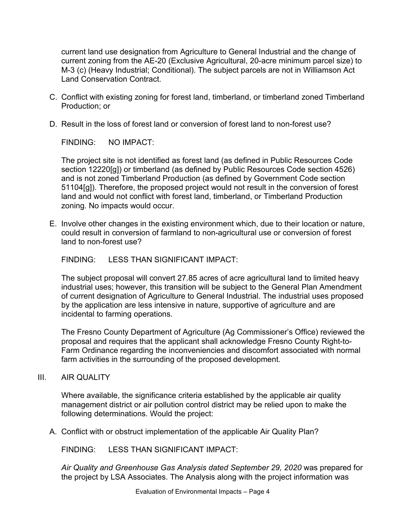current land use designation from Agriculture to General Industrial and the change of current zoning from the AE-20 (Exclusive Agricultural, 20-acre minimum parcel size) to M-3 (c) (Heavy Industrial; Conditional). The subject parcels are not in Williamson Act Land Conservation Contract.

- C. Conflict with existing zoning for forest land, timberland, or timberland zoned Timberland Production; or
- D. Result in the loss of forest land or conversion of forest land to non-forest use?

FINDING: NO IMPACT:

The project site is not identified as forest land (as defined in Public Resources Code section 12220[g]) or timberland (as defined by Public Resources Code section 4526) and is not zoned Timberland Production (as defined by Government Code section 51104[g]). Therefore, the proposed project would not result in the conversion of forest land and would not conflict with forest land, timberland, or Timberland Production zoning. No impacts would occur.

E. Involve other changes in the existing environment which, due to their location or nature, could result in conversion of farmland to non-agricultural use or conversion of forest land to non-forest use?

FINDING: LESS THAN SIGNIFICANT IMPACT:

The subject proposal will convert 27.85 acres of acre agricultural land to limited heavy industrial uses; however, this transition will be subject to the General Plan Amendment of current designation of Agriculture to General Industrial. The industrial uses proposed by the application are less intensive in nature, supportive of agriculture and are incidental to farming operations.

The Fresno County Department of Agriculture (Ag Commissioner's Office) reviewed the proposal and requires that the applicant shall acknowledge Fresno County Right-to-Farm Ordinance regarding the inconveniencies and discomfort associated with normal farm activities in the surrounding of the proposed development.

## III. AIR QUALITY

Where available, the significance criteria established by the applicable air quality management district or air pollution control district may be relied upon to make the following determinations. Would the project:

A. Conflict with or obstruct implementation of the applicable Air Quality Plan?

FINDING: LESS THAN SIGNIFICANT IMPACT:

*Air Quality and Greenhouse Gas Analysis dated September 29, 2020* was prepared for the project by LSA Associates. The Analysis along with the project information was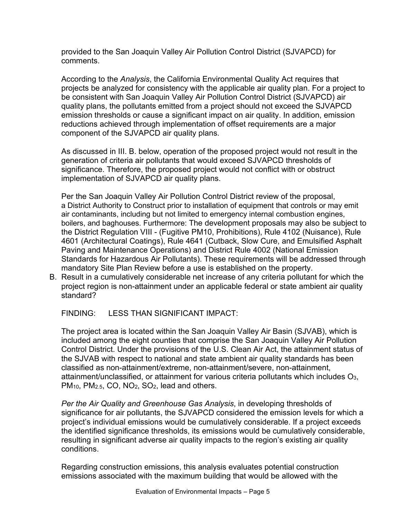provided to the San Joaquin Valley Air Pollution Control District (SJVAPCD) for comments.

According to the *Analysis*, the California Environmental Quality Act requires that projects be analyzed for consistency with the applicable air quality plan. For a project to be consistent with San Joaquin Valley Air Pollution Control District (SJVAPCD) air quality plans, the pollutants emitted from a project should not exceed the SJVAPCD emission thresholds or cause a significant impact on air quality. In addition, emission reductions achieved through implementation of offset requirements are a major component of the SJVAPCD air quality plans.

As discussed in III. B. below, operation of the proposed project would not result in the generation of criteria air pollutants that would exceed SJVAPCD thresholds of significance. Therefore, the proposed project would not conflict with or obstruct implementation of SJVAPCD air quality plans.

Per the San Joaquin Valley Air Pollution Control District review of the proposal, a District Authority to Construct prior to installation of equipment that controls or may emit air contaminants, including but not limited to emergency internal combustion engines, boilers, and baghouses. Furthermore: The development proposals may also be subject to the District Regulation VIII - (Fugitive PM10, Prohibitions), Rule 4102 (Nuisance), Rule 4601 (Architectural Coatings), Rule 4641 (Cutback, Slow Cure, and Emulsified Asphalt Paving and Maintenance Operations) and District Rule 4002 (National Emission Standards for Hazardous Air Pollutants). These requirements will be addressed through mandatory Site Plan Review before a use is established on the property.

B. Result in a cumulatively considerable net increase of any criteria pollutant for which the project region is non-attainment under an applicable federal or state ambient air quality standard?

FINDING: LESS THAN SIGNIFICANT IMPACT:

The project area is located within the San Joaquin Valley Air Basin (SJVAB), which is included among the eight counties that comprise the San Joaquin Valley Air Pollution Control District. Under the provisions of the U.S. Clean Air Act, the attainment status of the SJVAB with respect to national and state ambient air quality standards has been classified as non-attainment/extreme, non-attainment/severe, non-attainment, attainment/unclassified, or attainment for various criteria pollutants which includes O3, PM<sub>10</sub>, PM<sub>2.5</sub>, CO, NO<sub>2</sub>, SO<sub>2</sub>, lead and others.

*Per the Air Quality and Greenhouse Gas Analysis*, in developing thresholds of significance for air pollutants, the SJVAPCD considered the emission levels for which a project's individual emissions would be cumulatively considerable. If a project exceeds the identified significance thresholds, its emissions would be cumulatively considerable, resulting in significant adverse air quality impacts to the region's existing air quality conditions.

Regarding construction emissions, this analysis evaluates potential construction emissions associated with the maximum building that would be allowed with the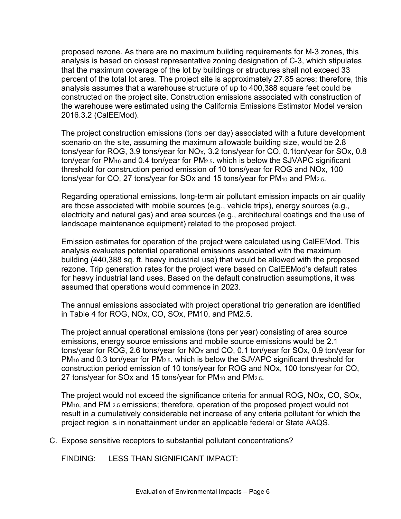proposed rezone. As there are no maximum building requirements for M-3 zones, this analysis is based on closest representative zoning designation of C-3, which stipulates that the maximum coverage of the lot by buildings or structures shall not exceed 33 percent of the total lot area. The project site is approximately 27.85 acres; therefore, this analysis assumes that a warehouse structure of up to 400,388 square feet could be constructed on the project site. Construction emissions associated with construction of the warehouse were estimated using the California Emissions Estimator Model version 2016.3.2 (CalEEMod).

The project construction emissions (tons per day) associated with a future development scenario on the site, assuming the maximum allowable building size, would be 2.8 tons/year for ROG, 3.9 tons/year for NO<sub>X</sub>, 3.2 tons/year for CO, 0.1ton/year for SOx, 0.8 ton/year for PM<sub>10</sub> and 0.4 ton/year for PM<sub>2.5</sub>. which is below the SJVAPC significant threshold for construction period emission of 10 tons/year for ROG and NOx, 100 tons/year for CO, 27 tons/year for SOx and 15 tons/year for  $PM_{10}$  and  $PM_{2.5}$ .

Regarding operational emissions, long-term air pollutant emission impacts on air quality are those associated with mobile sources (e.g., vehicle trips), energy sources (e.g., electricity and natural gas) and area sources (e.g., architectural coatings and the use of landscape maintenance equipment) related to the proposed project.

Emission estimates for operation of the project were calculated using CalEEMod. This analysis evaluates potential operational emissions associated with the maximum building (440,388 sq. ft. heavy industrial use) that would be allowed with the proposed rezone. Trip generation rates for the project were based on CalEEMod's default rates for heavy industrial land uses. Based on the default construction assumptions, it was assumed that operations would commence in 2023.

The annual emissions associated with project operational trip generation are identified in Table 4 for ROG, NOx, CO, SOx, PM10, and PM2.5.

The project annual operational emissions (tons per year) consisting of area source emissions, energy source emissions and mobile source emissions would be 2.1 tons/year for ROG, 2.6 tons/year for  $NO_X$  and CO, 0.1 ton/year for SOx, 0.9 ton/year for PM<sub>10</sub> and 0.3 ton/year for PM<sub>2.5</sub>. which is below the SJVAPC significant threshold for construction period emission of 10 tons/year for ROG and NOx, 100 tons/year for CO, 27 tons/year for SOx and 15 tons/year for PM<sub>10</sub> and PM<sub>2.5</sub>.

The project would not exceed the significance criteria for annual ROG, NOx, CO, SOx, PM<sub>10</sub>, and PM <sub>2.5</sub> emissions; therefore, operation of the proposed project would not result in a cumulatively considerable net increase of any criteria pollutant for which the project region is in nonattainment under an applicable federal or State AAQS.

C. Expose sensitive receptors to substantial pollutant concentrations?

FINDING: LESS THAN SIGNIFICANT IMPACT: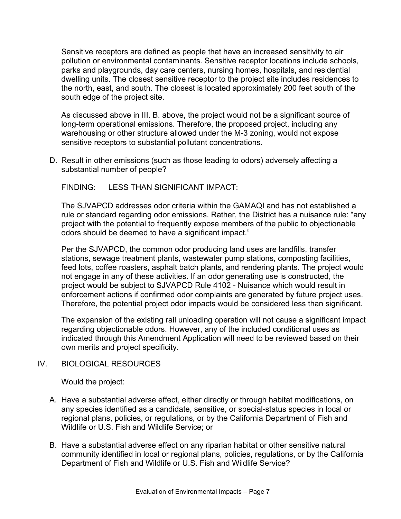Sensitive receptors are defined as people that have an increased sensitivity to air pollution or environmental contaminants. Sensitive receptor locations include schools, parks and playgrounds, day care centers, nursing homes, hospitals, and residential dwelling units. The closest sensitive receptor to the project site includes residences to the north, east, and south. The closest is located approximately 200 feet south of the south edge of the project site.

As discussed above in III. B. above, the project would not be a significant source of long-term operational emissions. Therefore, the proposed project, including any warehousing or other structure allowed under the M-3 zoning, would not expose sensitive receptors to substantial pollutant concentrations.

D. Result in other emissions (such as those leading to odors) adversely affecting a substantial number of people?

FINDING: LESS THAN SIGNIFICANT IMPACT:

The SJVAPCD addresses odor criteria within the GAMAQI and has not established a rule or standard regarding odor emissions. Rather, the District has a nuisance rule: "any project with the potential to frequently expose members of the public to objectionable odors should be deemed to have a significant impact."

Per the SJVAPCD, the common odor producing land uses are landfills, transfer stations, sewage treatment plants, wastewater pump stations, composting facilities, feed lots, coffee roasters, asphalt batch plants, and rendering plants. The project would not engage in any of these activities. If an odor generating use is constructed, the project would be subject to SJVAPCD Rule 4102 - Nuisance which would result in enforcement actions if confirmed odor complaints are generated by future project uses. Therefore, the potential project odor impacts would be considered less than significant.

The expansion of the existing rail unloading operation will not cause a significant impact regarding objectionable odors. However, any of the included conditional uses as indicated through this Amendment Application will need to be reviewed based on their own merits and project specificity.

## IV. BIOLOGICAL RESOURCES

Would the project:

- A. Have a substantial adverse effect, either directly or through habitat modifications, on any species identified as a candidate, sensitive, or special-status species in local or regional plans, policies, or regulations, or by the California Department of Fish and Wildlife or U.S. Fish and Wildlife Service; or
- B. Have a substantial adverse effect on any riparian habitat or other sensitive natural community identified in local or regional plans, policies, regulations, or by the California Department of Fish and Wildlife or U.S. Fish and Wildlife Service?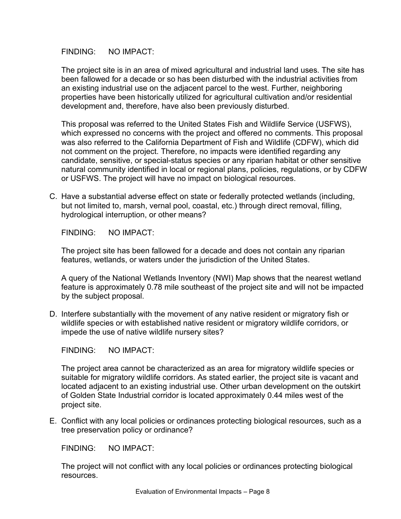#### FINDING: NO IMPACT:

The project site is in an area of mixed agricultural and industrial land uses. The site has been fallowed for a decade or so has been disturbed with the industrial activities from an existing industrial use on the adjacent parcel to the west. Further, neighboring properties have been historically utilized for agricultural cultivation and/or residential development and, therefore, have also been previously disturbed.

This proposal was referred to the United States Fish and Wildlife Service (USFWS), which expressed no concerns with the project and offered no comments. This proposal was also referred to the California Department of Fish and Wildlife (CDFW), which did not comment on the project. Therefore, no impacts were identified regarding any candidate, sensitive, or special-status species or any riparian habitat or other sensitive natural community identified in local or regional plans, policies, regulations, or by CDFW or USFWS. The project will have no impact on biological resources.

C. Have a substantial adverse effect on state or federally protected wetlands (including, but not limited to, marsh, vernal pool, coastal, etc.) through direct removal, filling, hydrological interruption, or other means?

FINDING: NO IMPACT:

The project site has been fallowed for a decade and does not contain any riparian features, wetlands, or waters under the jurisdiction of the United States.

A query of the National Wetlands Inventory (NWI) Map shows that the nearest wetland feature is approximately 0.78 mile southeast of the project site and will not be impacted by the subject proposal.

D. Interfere substantially with the movement of any native resident or migratory fish or wildlife species or with established native resident or migratory wildlife corridors, or impede the use of native wildlife nursery sites?

FINDING: NO IMPACT:

The project area cannot be characterized as an area for migratory wildlife species or suitable for migratory wildlife corridors. As stated earlier, the project site is vacant and located adjacent to an existing industrial use. Other urban development on the outskirt of Golden State Industrial corridor is located approximately 0.44 miles west of the project site.

E. Conflict with any local policies or ordinances protecting biological resources, such as a tree preservation policy or ordinance?

FINDING: NO IMPACT:

The project will not conflict with any local policies or ordinances protecting biological resources.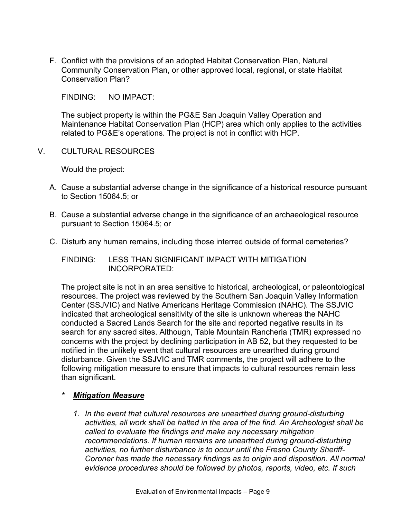F. Conflict with the provisions of an adopted Habitat Conservation Plan, Natural Community Conservation Plan, or other approved local, regional, or state Habitat Conservation Plan?

FINDING: NO IMPACT:

The subject property is within the PG&E San Joaquin Valley Operation and Maintenance Habitat Conservation Plan (HCP) area which only applies to the activities related to PG&E's operations. The project is not in conflict with HCP.

V. CULTURAL RESOURCES

Would the project:

- A. Cause a substantial adverse change in the significance of a historical resource pursuant to Section 15064.5; or
- B. Cause a substantial adverse change in the significance of an archaeological resource pursuant to Section 15064.5; or
- C. Disturb any human remains, including those interred outside of formal cemeteries?

FINDING: LESS THAN SIGNIFICANT IMPACT WITH MITIGATION INCORPORATED:

The project site is not in an area sensitive to historical, archeological, or paleontological resources. The project was reviewed by the Southern San Joaquin Valley Information Center (SSJVIC) and Native Americans Heritage Commission (NAHC). The SSJVIC indicated that archeological sensitivity of the site is unknown whereas the NAHC conducted a Sacred Lands Search for the site and reported negative results in its search for any sacred sites. Although, Table Mountain Rancheria (TMR) expressed no concerns with the project by declining participation in AB 52, but they requested to be notified in the unlikely event that cultural resources are unearthed during ground disturbance. Given the SSJVIC and TMR comments, the project will adhere to the following mitigation measure to ensure that impacts to cultural resources remain less than significant.

## *\* Mitigation Measure*

*1. In the event that cultural resources are unearthed during ground-disturbing activities, all work shall be halted in the area of the find. An Archeologist shall be called to evaluate the findings and make any necessary mitigation recommendations. If human remains are unearthed during ground-disturbing activities, no further disturbance is to occur until the Fresno County Sheriff-Coroner has made the necessary findings as to origin and disposition. All normal evidence procedures should be followed by photos, reports, video, etc. If such*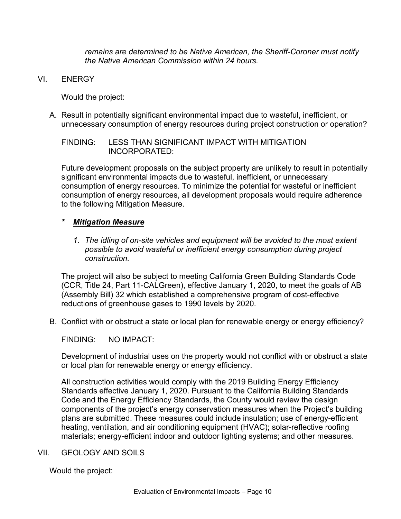*remains are determined to be Native American, the Sheriff-Coroner must notify the Native American Commission within 24 hours.*

VI. ENERGY

Would the project:

A. Result in potentially significant environmental impact due to wasteful, inefficient, or unnecessary consumption of energy resources during project construction or operation?

FINDING: LESS THAN SIGNIFICANT IMPACT WITH MITIGATION INCORPORATED:

Future development proposals on the subject property are unlikely to result in potentially significant environmental impacts due to wasteful, inefficient, or unnecessary consumption of energy resources. To minimize the potential for wasteful or inefficient consumption of energy resources, all development proposals would require adherence to the following Mitigation Measure.

#### *\* Mitigation Measure*

*1. The idling of on-site vehicles and equipment will be avoided to the most extent possible to avoid wasteful or inefficient energy consumption during project construction.*

The project will also be subject to meeting California Green Building Standards Code (CCR, Title 24, Part 11-CALGreen), effective January 1, 2020, to meet the goals of AB (Assembly Bill) 32 which established a comprehensive program of cost-effective reductions of greenhouse gases to 1990 levels by 2020.

B. Conflict with or obstruct a state or local plan for renewable energy or energy efficiency?

FINDING: NO IMPACT:

Development of industrial uses on the property would not conflict with or obstruct a state or local plan for renewable energy or energy efficiency.

All construction activities would comply with the 2019 Building Energy Efficiency Standards effective January 1, 2020. Pursuant to the California Building Standards Code and the Energy Efficiency Standards, the County would review the design components of the project's energy conservation measures when the Project's building plans are submitted. These measures could include insulation; use of energy-efficient heating, ventilation, and air conditioning equipment (HVAC); solar-reflective roofing materials; energy-efficient indoor and outdoor lighting systems; and other measures.

#### VII. GEOLOGY AND SOILS

Would the project: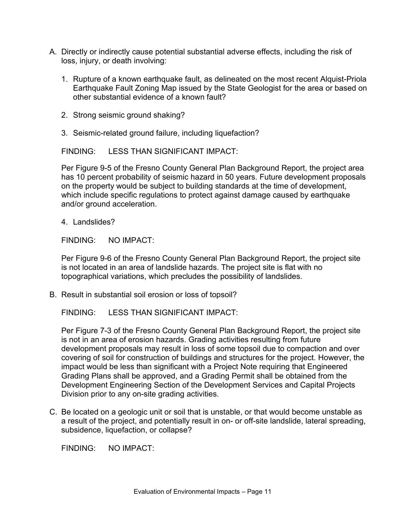- A. Directly or indirectly cause potential substantial adverse effects, including the risk of loss, injury, or death involving:
	- 1. Rupture of a known earthquake fault, as delineated on the most recent Alquist-Priola Earthquake Fault Zoning Map issued by the State Geologist for the area or based on other substantial evidence of a known fault?
	- 2. Strong seismic ground shaking?
	- 3. Seismic-related ground failure, including liquefaction?

FINDING: LESS THAN SIGNIFICANT IMPACT:

Per Figure 9-5 of the Fresno County General Plan Background Report, the project area has 10 percent probability of seismic hazard in 50 years. Future development proposals on the property would be subject to building standards at the time of development, which include specific regulations to protect against damage caused by earthquake and/or ground acceleration.

4. Landslides?

FINDING: NO IMPACT:

Per Figure 9-6 of the Fresno County General Plan Background Report, the project site is not located in an area of landslide hazards. The project site is flat with no topographical variations, which precludes the possibility of landslides.

B. Result in substantial soil erosion or loss of topsoil?

FINDING: LESS THAN SIGNIFICANT IMPACT:

Per Figure 7-3 of the Fresno County General Plan Background Report, the project site is not in an area of erosion hazards. Grading activities resulting from future development proposals may result in loss of some topsoil due to compaction and over covering of soil for construction of buildings and structures for the project. However, the impact would be less than significant with a Project Note requiring that Engineered Grading Plans shall be approved, and a Grading Permit shall be obtained from the Development Engineering Section of the Development Services and Capital Projects Division prior to any on-site grading activities.

C. Be located on a geologic unit or soil that is unstable, or that would become unstable as a result of the project, and potentially result in on- or off-site landslide, lateral spreading, subsidence, liquefaction, or collapse?

FINDING: NO IMPACT: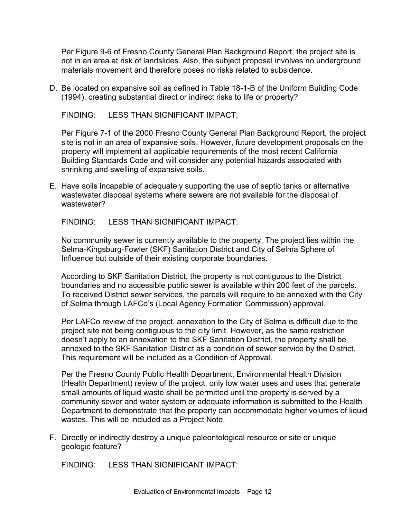Per Figure 9-6 of Fresno County General Plan Background Report, the project site is not in an area at risk of landslides. Also, the subject proposal involves no underground materials movement and therefore poses no risks related to subsidence.

D. Be located on expansive soil as defined in Table 18-1-B of the Uniform Building Code (1994), creating substantial direct or indirect risks to life or property?

FINDING: LESS THAN SIGNIFICANT IMPACT:

Per Figure 7-1 of the 2000 Fresno County General Plan Background Report, the project site is not in an area of expansive soils. However, future development proposals on the property will implement all applicable requirements of the most recent California Building Standards Code and will consider any potential hazards associated with shrinking and swelling of expansive soils.

E. Have soils incapable of adequately supporting the use of septic tanks or alternative wastewater disposal systems where sewers are not available for the disposal of wastewater?

#### FINDING: LESS THAN SIGNIFICANT IMPACT:

No community sewer is currently available to the property. The project lies within the Selma-Kingsburg-Fowler (SKF) Sanitation District and City of Selma Sphere of Influence but outside of their existing corporate boundaries.

According to SKF Sanitation District, the property is not contiguous to the District boundaries and no accessible public sewer is available within 200 feet of the parcels. To received District sewer services, the parcels will require to be annexed with the City of Selma through LAFCo's (Local Agency Formation Commission) approval.

Per LAFCo review of the project, annexation to the City of Selma is difficult due to the project site not being contiguous to the city limit. However, as the same restriction doesn't apply to an annexation to the SKF Sanitation District, the property shall be annexed to the SKF Sanitation District as a condition of sewer service by the District. This requirement will be included as a Condition of Approval.

Per the Fresno County Public Health Department, Environmental Health Division (Health Department) review of the project, only low water uses and uses that generate small amounts of liquid waste shall be permitted until the property is served by a community sewer and water system or adequate information is submitted to the Health Department to demonstrate that the property can accommodate higher volumes of liquid wastes. This will be included as a Project Note.

F. Directly or indirectly destroy a unique paleontological resource or site or unique geologic feature?

FINDING: LESS THAN SIGNIFICANT IMPACT: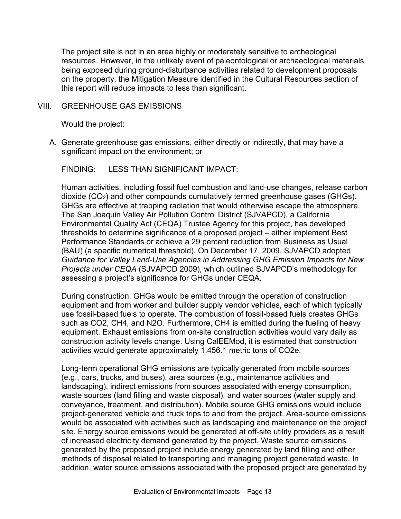The project site is not in an area highly or moderately sensitive to archeological resources. However, in the unlikely event of paleontological or archaeological materials being exposed during ground-disturbance activities related to development proposals on the property, the Mitigation Measure identified in the Cultural Resources section of this report will reduce impacts to less than significant.

#### VIII. GREENHOUSE GAS EMISSIONS

Would the project:

A. Generate greenhouse gas emissions, either directly or indirectly, that may have a significant impact on the environment; or

FINDING: LESS THAN SIGNIFICANT IMPACT:

Human activities, including fossil fuel combustion and land-use changes, release carbon dioxide (CO2) and other compounds cumulatively termed greenhouse gases (GHGs). GHGs are effective at trapping radiation that would otherwise escape the atmosphere. The San Joaquin Valley Air Pollution Control District (SJVAPCD), a California Environmental Quality Act (CEQA) Trustee Agency for this project, has developed thresholds to determine significance of a proposed project – either implement Best Performance Standards or achieve a 29 percent reduction from Business as Usual (BAU) (a specific numerical threshold). On December 17, 2009, SJVAPCD adopted *Guidance for Valley Land-Use Agencies in Addressing GHG Emission Impacts for New Projects under CEQA* (SJVAPCD 2009), which outlined SJVAPCD's methodology for assessing a project's significance for GHGs under CEQA.

During construction, GHGs would be emitted through the operation of construction equipment and from worker and builder supply vendor vehicles, each of which typically use fossil-based fuels to operate. The combustion of fossil-based fuels creates GHGs such as CO2, CH4, and N2O. Furthermore, CH4 is emitted during the fueling of heavy equipment. Exhaust emissions from on-site construction activities would vary daily as construction activity levels change. Using CalEEMod, it is estimated that construction activities would generate approximately 1,456.1 metric tons of CO2e.

Long-term operational GHG emissions are typically generated from mobile sources (e.g., cars, trucks, and buses), area sources (e.g., maintenance activities and landscaping), indirect emissions from sources associated with energy consumption, waste sources (land filling and waste disposal), and water sources (water supply and conveyance, treatment, and distribution). Mobile source GHG emissions would include project-generated vehicle and truck trips to and from the project. Area-source emissions would be associated with activities such as landscaping and maintenance on the project site. Energy source emissions would be generated at off-site utility providers as a result of increased electricity demand generated by the project. Waste source emissions generated by the proposed project include energy generated by land filling and other methods of disposal related to transporting and managing project generated waste. In addition, water source emissions associated with the proposed project are generated by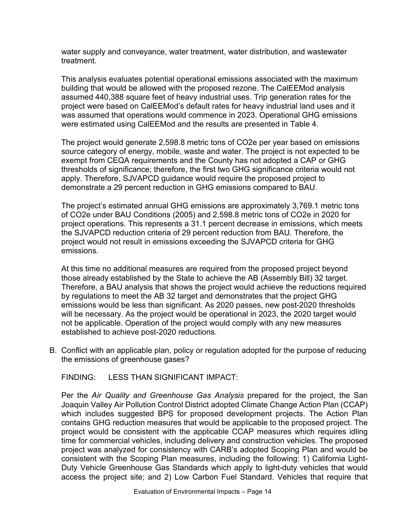water supply and conveyance, water treatment, water distribution, and wastewater treatment.

This analysis evaluates potential operational emissions associated with the maximum building that would be allowed with the proposed rezone. The CalEEMod analysis assumed 440,388 square feet of heavy industrial uses. Trip generation rates for the project were based on CalEEMod's default rates for heavy industrial land uses and it was assumed that operations would commence in 2023. Operational GHG emissions were estimated using CalEEMod and the results are presented in Table 4.

The project would generate 2,598.8 metric tons of CO2e per year based on emissions source category of energy, mobile, waste and water. The project is not expected to be exempt from CEQA requirements and the County has not adopted a CAP or GHG thresholds of significance; therefore, the first two GHG significance criteria would not apply. Therefore, SJVAPCD guidance would require the proposed project to demonstrate a 29 percent reduction in GHG emissions compared to BAU.

The project's estimated annual GHG emissions are approximately 3,769.1 metric tons of CO2e under BAU Conditions (2005) and 2,598.8 metric tons of CO2e in 2020 for project operations. This represents a 31.1 percent decrease in emissions, which meets the SJVAPCD reduction criteria of 29 percent reduction from BAU. Therefore, the project would not result in emissions exceeding the SJVAPCD criteria for GHG emissions.

At this time no additional measures are required from the proposed project beyond those already established by the State to achieve the AB (Assembly Bill) 32 target. Therefore, a BAU analysis that shows the project would achieve the reductions required by regulations to meet the AB 32 target and demonstrates that the project GHG emissions would be less than significant. As 2020 passes, new post-2020 thresholds will be necessary. As the project would be operational in 2023, the 2020 target would not be applicable. Operation of the project would comply with any new measures established to achieve post-2020 reductions.

B. Conflict with an applicable plan, policy or regulation adopted for the purpose of reducing the emissions of greenhouse gases?

FINDING: LESS THAN SIGNIFICANT IMPACT:

Per the *Air Quality and Greenhouse Gas Analysis* prepared for the project, the San Joaquin Valley Air Pollution Control District adopted Climate Change Action Plan (CCAP) which includes suggested BPS for proposed development projects. The Action Plan contains GHG reduction measures that would be applicable to the proposed project. The project would be consistent with the applicable CCAP measures which requires idling time for commercial vehicles, including delivery and construction vehicles. The proposed project was analyzed for consistency with CARB's adopted Scoping Plan and would be consistent with the Scoping Plan measures, including the following: 1) California Light-Duty Vehicle Greenhouse Gas Standards which apply to light-duty vehicles that would access the project site; and 2) Low Carbon Fuel Standard. Vehicles that require that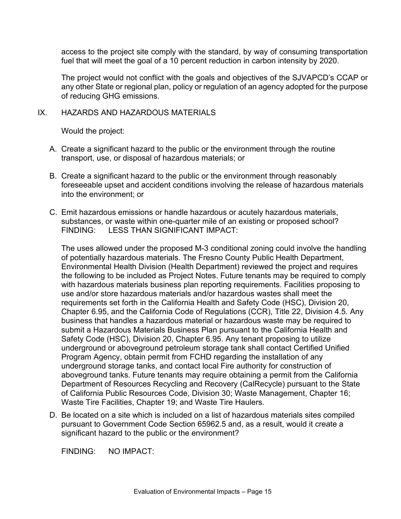access to the project site comply with the standard, by way of consuming transportation fuel that will meet the goal of a 10 percent reduction in carbon intensity by 2020.

The project would not conflict with the goals and objectives of the SJVAPCD's CCAP or any other State or regional plan, policy or regulation of an agency adopted for the purpose of reducing GHG emissions.

## IX. HAZARDS AND HAZARDOUS MATERIALS

Would the project:

- A. Create a significant hazard to the public or the environment through the routine transport, use, or disposal of hazardous materials; or
- B. Create a significant hazard to the public or the environment through reasonably foreseeable upset and accident conditions involving the release of hazardous materials into the environment; or
- C. Emit hazardous emissions or handle hazardous or acutely hazardous materials, substances, or waste within one-quarter mile of an existing or proposed school? FINDING: LESS THAN SIGNIFICANT IMPACT:

The uses allowed under the proposed M-3 conditional zoning could involve the handling of potentially hazardous materials. The Fresno County Public Health Department, Environmental Health Division (Health Department) reviewed the project and requires the following to be included as Project Notes. Future tenants may be required to comply with hazardous materials business plan reporting requirements. Facilities proposing to use and/or store hazardous materials and/or hazardous wastes shall meet the requirements set forth in the California Health and Safety Code (HSC), Division 20, Chapter 6.95, and the California Code of Regulations (CCR), Title 22, Division 4.5. Any business that handles a hazardous material or hazardous waste may be required to submit a Hazardous Materials Business Plan pursuant to the California Health and Safety Code (HSC), Division 20, Chapter 6.95. Any tenant proposing to utilize underground or aboveground petroleum storage tank shall contact Certified Unified Program Agency, obtain permit from FCHD regarding the installation of any underground storage tanks, and contact local Fire authority for construction of aboveground tanks. Future tenants may require obtaining a permit from the California Department of Resources Recycling and Recovery (CalRecycle) pursuant to the State of California Public Resources Code, Division 30; Waste Management, Chapter 16; Waste Tire Facilities, Chapter 19; and Waste Tire Haulers.

D. Be located on a site which is included on a list of hazardous materials sites compiled pursuant to Government Code Section 65962.5 and, as a result, would it create a significant hazard to the public or the environment?

FINDING: NO IMPACT: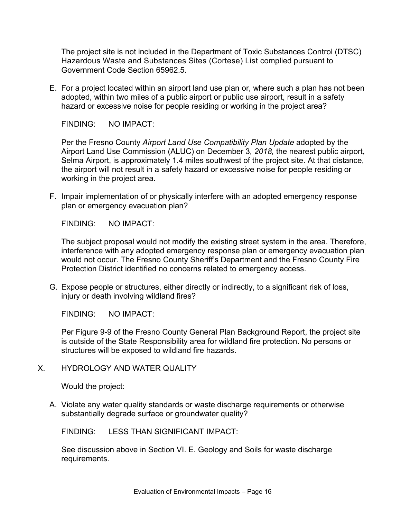The project site is not included in the Department of Toxic Substances Control (DTSC) Hazardous Waste and Substances Sites (Cortese) List complied pursuant to Government Code Section 65962.5.

E. For a project located within an airport land use plan or, where such a plan has not been adopted, within two miles of a public airport or public use airport, result in a safety hazard or excessive noise for people residing or working in the project area?

FINDING: NO IMPACT:

Per the Fresno County *Airport Land Use Compatibility Plan Update* adopted by the Airport Land Use Commission (ALUC) on December 3*, 2018,* the nearest public airport, Selma Airport, is approximately 1.4 miles southwest of the project site. At that distance, the airport will not result in a safety hazard or excessive noise for people residing or working in the project area.

F. Impair implementation of or physically interfere with an adopted emergency response plan or emergency evacuation plan?

FINDING: NO IMPACT:

The subject proposal would not modify the existing street system in the area. Therefore, interference with any adopted emergency response plan or emergency evacuation plan would not occur. The Fresno County Sheriff's Department and the Fresno County Fire Protection District identified no concerns related to emergency access.

G. Expose people or structures, either directly or indirectly, to a significant risk of loss, injury or death involving wildland fires?

FINDING: NO IMPACT:

Per Figure 9-9 of the Fresno County General Plan Background Report, the project site is outside of the State Responsibility area for wildland fire protection. No persons or structures will be exposed to wildland fire hazards.

X. HYDROLOGY AND WATER QUALITY

Would the project:

A. Violate any water quality standards or waste discharge requirements or otherwise substantially degrade surface or groundwater quality?

FINDING: LESS THAN SIGNIFICANT IMPACT:

See discussion above in Section VI. E. Geology and Soils for waste discharge requirements.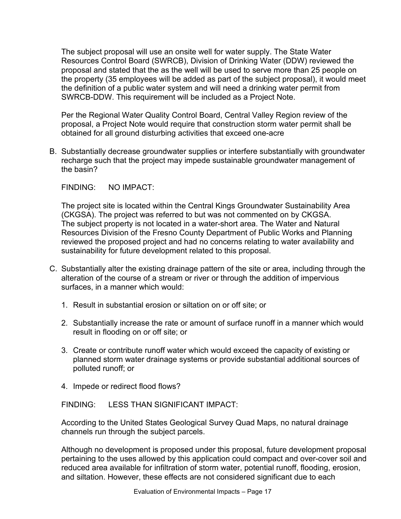The subject proposal will use an onsite well for water supply. The State Water Resources Control Board (SWRCB), Division of Drinking Water (DDW) reviewed the proposal and stated that the as the well will be used to serve more than 25 people on the property (35 employees will be added as part of the subject proposal), it would meet the definition of a public water system and will need a drinking water permit from SWRCB-DDW. This requirement will be included as a Project Note.

Per the Regional Water Quality Control Board, Central Valley Region review of the proposal, a Project Note would require that construction storm water permit shall be obtained for all ground disturbing activities that exceed one-acre

B. Substantially decrease groundwater supplies or interfere substantially with groundwater recharge such that the project may impede sustainable groundwater management of the basin?

FINDING: NO IMPACT:

The project site is located within the Central Kings Groundwater Sustainability Area (CKGSA). The project was referred to but was not commented on by CKGSA. The subject property is not located in a water-short area. The Water and Natural Resources Division of the Fresno County Department of Public Works and Planning reviewed the proposed project and had no concerns relating to water availability and sustainability for future development related to this proposal.

- C. Substantially alter the existing drainage pattern of the site or area, including through the alteration of the course of a stream or river or through the addition of impervious surfaces, in a manner which would:
	- 1. Result in substantial erosion or siltation on or off site; or
	- 2. Substantially increase the rate or amount of surface runoff in a manner which would result in flooding on or off site; or
	- 3. Create or contribute runoff water which would exceed the capacity of existing or planned storm water drainage systems or provide substantial additional sources of polluted runoff; or
	- 4. Impede or redirect flood flows?

FINDING: LESS THAN SIGNIFICANT IMPACT:

According to the United States Geological Survey Quad Maps, no natural drainage channels run through the subject parcels.

Although no development is proposed under this proposal, future development proposal pertaining to the uses allowed by this application could compact and over-cover soil and reduced area available for infiltration of storm water, potential runoff, flooding, erosion, and siltation. However, these effects are not considered significant due to each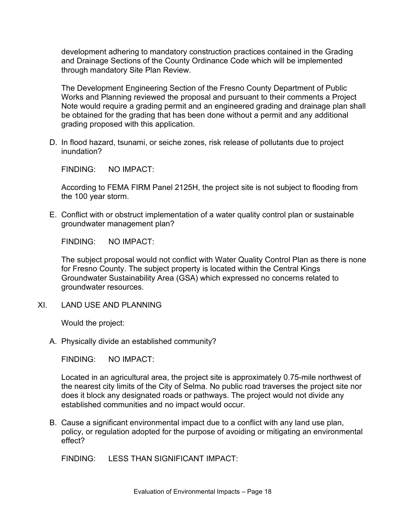development adhering to mandatory construction practices contained in the Grading and Drainage Sections of the County Ordinance Code which will be implemented through mandatory Site Plan Review.

The Development Engineering Section of the Fresno County Department of Public Works and Planning reviewed the proposal and pursuant to their comments a Project Note would require a grading permit and an engineered grading and drainage plan shall be obtained for the grading that has been done without a permit and any additional grading proposed with this application.

D. In flood hazard, tsunami, or seiche zones, risk release of pollutants due to project inundation?

FINDING: NO IMPACT:

According to FEMA FIRM Panel 2125H, the project site is not subject to flooding from the 100 year storm.

E. Conflict with or obstruct implementation of a water quality control plan or sustainable groundwater management plan?

FINDING: NO IMPACT:

The subject proposal would not conflict with Water Quality Control Plan as there is none for Fresno County. The subject property is located within the Central Kings Groundwater Sustainability Area (GSA) which expressed no concerns related to groundwater resources.

XI. LAND USE AND PLANNING

Would the project:

A. Physically divide an established community?

FINDING: NO IMPACT:

Located in an agricultural area, the project site is approximately 0.75-mile northwest of the nearest city limits of the City of Selma. No public road traverses the project site nor does it block any designated roads or pathways. The project would not divide any established communities and no impact would occur.

B. Cause a significant environmental impact due to a conflict with any land use plan, policy, or regulation adopted for the purpose of avoiding or mitigating an environmental effect?

FINDING: LESS THAN SIGNIFICANT IMPACT: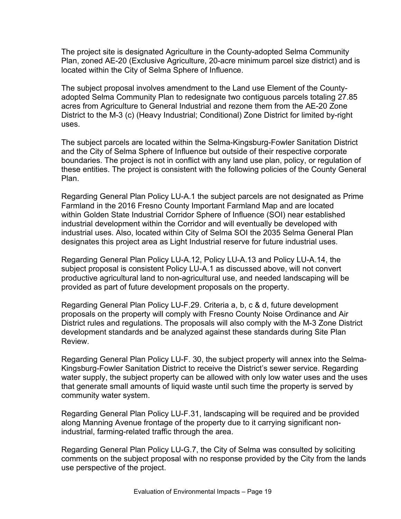The project site is designated Agriculture in the County-adopted Selma Community Plan, zoned AE-20 (Exclusive Agriculture, 20-acre minimum parcel size district) and is located within the City of Selma Sphere of Influence.

The subject proposal involves amendment to the Land use Element of the Countyadopted Selma Community Plan to redesignate two contiguous parcels totaling 27.85 acres from Agriculture to General Industrial and rezone them from the AE-20 Zone District to the M-3 (c) (Heavy Industrial; Conditional) Zone District for limited by-right uses.

The subject parcels are located within the Selma-Kingsburg-Fowler Sanitation District and the City of Selma Sphere of Influence but outside of their respective corporate boundaries. The project is not in conflict with any land use plan, policy, or regulation of these entities. The project is consistent with the following policies of the County General Plan.

Regarding General Plan Policy LU-A.1 the subject parcels are not designated as Prime Farmland in the 2016 Fresno County Important Farmland Map and are located within Golden State Industrial Corridor Sphere of Influence (SOI) near established industrial development within the Corridor and will eventually be developed with industrial uses. Also, located within City of Selma SOI the 2035 Selma General Plan designates this project area as Light Industrial reserve for future industrial uses.

Regarding General Plan Policy LU-A.12, Policy LU-A.13 and Policy LU-A.14, the subject proposal is consistent Policy LU-A.1 as discussed above, will not convert productive agricultural land to non-agricultural use, and needed landscaping will be provided as part of future development proposals on the property.

Regarding General Plan Policy LU-F.29. Criteria a, b, c & d, future development proposals on the property will comply with Fresno County Noise Ordinance and Air District rules and regulations. The proposals will also comply with the M-3 Zone District development standards and be analyzed against these standards during Site Plan Review.

Regarding General Plan Policy LU-F. 30, the subject property will annex into the Selma-Kingsburg-Fowler Sanitation District to receive the District's sewer service. Regarding water supply, the subject property can be allowed with only low water uses and the uses that generate small amounts of liquid waste until such time the property is served by community water system.

Regarding General Plan Policy LU-F.31, landscaping will be required and be provided along Manning Avenue frontage of the property due to it carrying significant nonindustrial, farming-related traffic through the area.

Regarding General Plan Policy LU-G.7, the City of Selma was consulted by soliciting comments on the subject proposal with no response provided by the City from the lands use perspective of the project.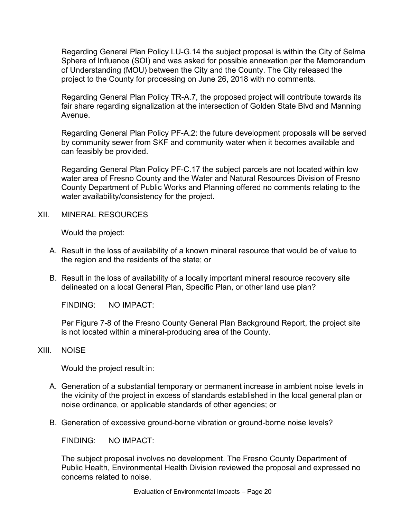Regarding General Plan Policy LU-G.14 the subject proposal is within the City of Selma Sphere of Influence (SOI) and was asked for possible annexation per the Memorandum of Understanding (MOU) between the City and the County. The City released the project to the County for processing on June 26, 2018 with no comments.

Regarding General Plan Policy TR-A.7, the proposed project will contribute towards its fair share regarding signalization at the intersection of Golden State Blvd and Manning Avenue.

Regarding General Plan Policy PF-A.2: the future development proposals will be served by community sewer from SKF and community water when it becomes available and can feasibly be provided.

Regarding General Plan Policy PF-C.17 the subject parcels are not located within low water area of Fresno County and the Water and Natural Resources Division of Fresno County Department of Public Works and Planning offered no comments relating to the water availability/consistency for the project.

XII. MINERAL RESOURCES

Would the project:

- A. Result in the loss of availability of a known mineral resource that would be of value to the region and the residents of the state; or
- B. Result in the loss of availability of a locally important mineral resource recovery site delineated on a local General Plan, Specific Plan, or other land use plan?

FINDING: NO IMPACT:

Per Figure 7-8 of the Fresno County General Plan Background Report, the project site is not located within a mineral-producing area of the County.

#### XIII. NOISE

Would the project result in:

- A. Generation of a substantial temporary or permanent increase in ambient noise levels in the vicinity of the project in excess of standards established in the local general plan or noise ordinance, or applicable standards of other agencies; or
- B. Generation of excessive ground-borne vibration or ground-borne noise levels?

FINDING: NO IMPACT:

The subject proposal involves no development. The Fresno County Department of Public Health, Environmental Health Division reviewed the proposal and expressed no concerns related to noise.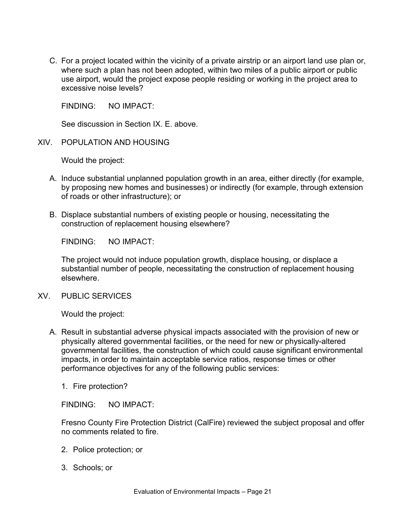C. For a project located within the vicinity of a private airstrip or an airport land use plan or, where such a plan has not been adopted, within two miles of a public airport or public use airport, would the project expose people residing or working in the project area to excessive noise levels?

FINDING: NO IMPACT:

See discussion in Section IX. E. above.

XIV. POPULATION AND HOUSING

Would the project:

- A. Induce substantial unplanned population growth in an area, either directly (for example, by proposing new homes and businesses) or indirectly (for example, through extension of roads or other infrastructure); or
- B. Displace substantial numbers of existing people or housing, necessitating the construction of replacement housing elsewhere?

FINDING: NO IMPACT:

The project would not induce population growth, displace housing, or displace a substantial number of people, necessitating the construction of replacement housing elsewhere.

XV. PUBLIC SERVICES

Would the project:

- A. Result in substantial adverse physical impacts associated with the provision of new or physically altered governmental facilities, or the need for new or physically-altered governmental facilities, the construction of which could cause significant environmental impacts, in order to maintain acceptable service ratios, response times or other performance objectives for any of the following public services:
	- 1. Fire protection?

FINDING: NO IMPACT:

Fresno County Fire Protection District (CalFire) reviewed the subject proposal and offer no comments related to fire.

- 2. Police protection; or
- 3. Schools; or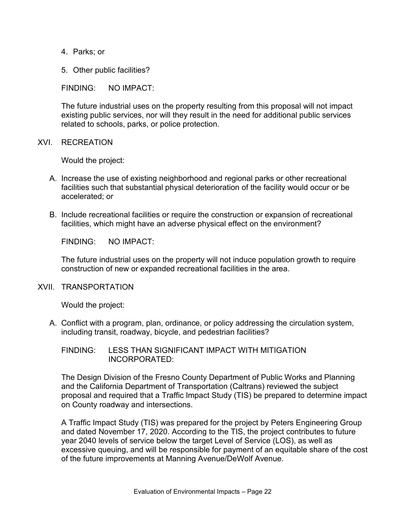- 4. Parks; or
- 5. Other public facilities?

FINDING: NO IMPACT:

The future industrial uses on the property resulting from this proposal will not impact existing public services, nor will they result in the need for additional public services related to schools, parks, or police protection.

#### XVI. RECREATION

Would the project:

- A. Increase the use of existing neighborhood and regional parks or other recreational facilities such that substantial physical deterioration of the facility would occur or be accelerated; or
- B. Include recreational facilities or require the construction or expansion of recreational facilities, which might have an adverse physical effect on the environment?

FINDING: NO IMPACT:

The future industrial uses on the property will not induce population growth to require construction of new or expanded recreational facilities in the area.

#### XVII. TRANSPORTATION

Would the project:

A. Conflict with a program, plan, ordinance, or policy addressing the circulation system, including transit, roadway, bicycle, and pedestrian facilities?

FINDING: LESS THAN SIGNIFICANT IMPACT WITH MITIGATION INCORPORATED:

The Design Division of the Fresno County Department of Public Works and Planning and the California Department of Transportation (Caltrans) reviewed the subject proposal and required that a Traffic Impact Study (TIS) be prepared to determine impact on County roadway and intersections.

A Traffic Impact Study (TIS) was prepared for the project by Peters Engineering Group and dated November 17, 2020. According to the TIS, the project contributes to future year 2040 levels of service below the target Level of Service (LOS), as well as excessive queuing, and will be responsible for payment of an equitable share of the cost of the future improvements at Manning Avenue/DeWolf Avenue.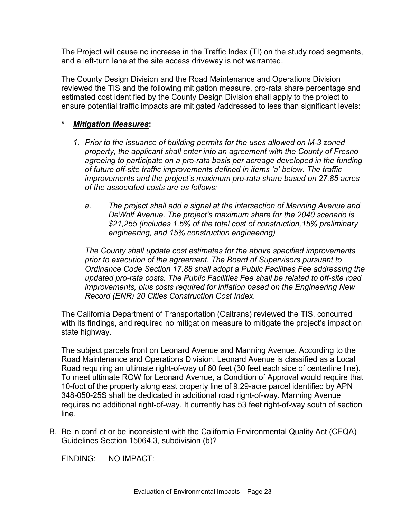The Project will cause no increase in the Traffic Index (TI) on the study road segments, and a left-turn lane at the site access driveway is not warranted.

The County Design Division and the Road Maintenance and Operations Division reviewed the TIS and the following mitigation measure, pro-rata share percentage and estimated cost identified by the County Design Division shall apply to the project to ensure potential traffic impacts are mitigated /addressed to less than significant levels:

## **\*** *Mitigation Measures***:**

- *1. Prior to the issuance of building permits for the uses allowed on M-3 zoned property, the applicant shall enter into an agreement with the County of Fresno agreeing to participate on a pro-rata basis per acreage developed in the funding of future off-site traffic improvements defined in items 'a' below. The traffic improvements and the project's maximum pro-rata share based on 27.85 acres of the associated costs are as follows:*
	- *a. The project shall add a signal at the intersection of Manning Avenue and DeWolf Avenue. The project's maximum share for the 2040 scenario is \$21,255 (includes 1.5% of the total cost of construction,15% preliminary engineering, and 15% construction engineering)*

*The County shall update cost estimates for the above specified improvements prior to execution of the agreement. The Board of Supervisors pursuant to Ordinance Code Section 17.88 shall adopt a Public Facilities Fee addressing the updated pro-rata costs. The Public Facilities Fee shall be related to off-site road improvements, plus costs required for inflation based on the Engineering New Record (ENR) 20 Cities Construction Cost Index.*

The California Department of Transportation (Caltrans) reviewed the TIS, concurred with its findings, and required no mitigation measure to mitigate the project's impact on state highway.

The subject parcels front on Leonard Avenue and Manning Avenue. According to the Road Maintenance and Operations Division, Leonard Avenue is classified as a Local Road requiring an ultimate right-of-way of 60 feet (30 feet each side of centerline line). To meet ultimate ROW for Leonard Avenue, a Condition of Approval would require that 10-foot of the property along east property line of 9.29-acre parcel identified by APN 348-050-25S shall be dedicated in additional road right-of-way. Manning Avenue requires no additional right-of-way. It currently has 53 feet right-of-way south of section line.

B. Be in conflict or be inconsistent with the California Environmental Quality Act (CEQA) Guidelines Section 15064.3, subdivision (b)?

FINDING: NO IMPACT: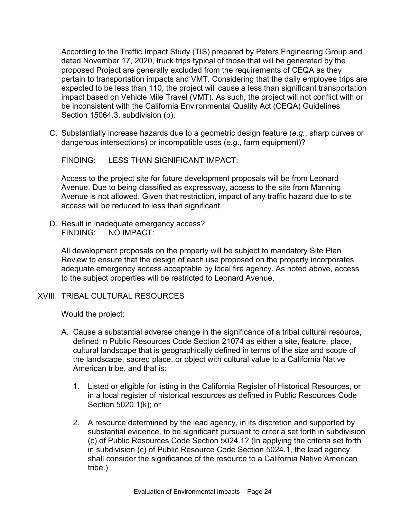According to the Traffic Impact Study (TIS) prepared by Peters Engineering Group and dated November 17, 2020, truck trips typical of those that will be generated by the proposed Project are generally excluded from the requirements of CEQA as they pertain to transportation impacts and VMT. Considering that the daily employee trips are expected to be less than 110, the project will cause a less than significant transportation impact based on Vehicle Mile Travel (VMT). As such, the project will not conflict with or be inconsistent with the California Environmental Quality Act (CEQA) Guidelines Section 15064.3, subdivision (b).

C. Substantially increase hazards due to a geometric design feature (*e.g.*, sharp curves or dangerous intersections) or incompatible uses (*e.g.*, farm equipment)?

FINDING: LESS THAN SIGNIFICANT IMPACT:

Access to the project site for future development proposals will be from Leonard Avenue. Due to being classified as expressway, access to the site from Manning Avenue is not allowed. Given that restriction, impact of any traffic hazard due to site access will be reduced to less than significant.

D. Result in inadequate emergency access? FINDING: NO IMPACT:

All development proposals on the property will be subject to mandatory Site Plan Review to ensure that the design of each use proposed on the property incorporates adequate emergency access acceptable by local fire agency. As noted above, access to the subject properties will be restricted to Leonard Avenue.

## XVIII. TRIBAL CULTURAL RESOURCES

Would the project:

- A. Cause a substantial adverse change in the significance of a tribal cultural resource, defined in Public Resources Code Section 21074 as either a site, feature, place, cultural landscape that is geographically defined in terms of the size and scope of the landscape, sacred place, or object with cultural value to a California Native American tribe, and that is:
	- 1. Listed or eligible for listing in the California Register of Historical Resources, or in a local register of historical resources as defined in Public Resources Code Section 5020.1(k); or
	- 2. A resource determined by the lead agency, in its discretion and supported by substantial evidence, to be significant pursuant to criteria set forth in subdivision (c) of Public Resources Code Section 5024.1? (In applying the criteria set forth in subdivision (c) of Public Resource Code Section 5024.1, the lead agency shall consider the significance of the resource to a California Native American tribe.)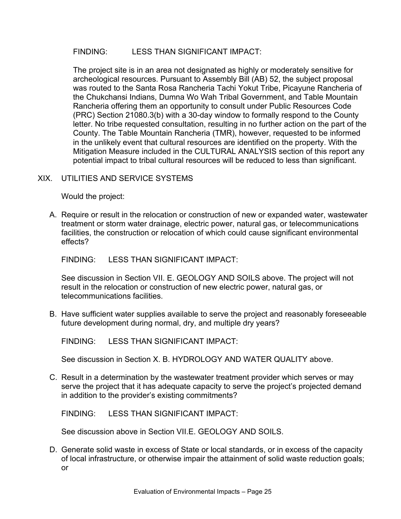## FINDING: LESS THAN SIGNIFICANT IMPACT:

The project site is in an area not designated as highly or moderately sensitive for archeological resources. Pursuant to Assembly Bill (AB) 52, the subject proposal was routed to the Santa Rosa Rancheria Tachi Yokut Tribe, Picayune Rancheria of the Chukchansi Indians, Dumna Wo Wah Tribal Government, and Table Mountain Rancheria offering them an opportunity to consult under Public Resources Code (PRC) Section 21080.3(b) with a 30-day window to formally respond to the County letter. No tribe requested consultation, resulting in no further action on the part of the County. The Table Mountain Rancheria (TMR), however, requested to be informed in the unlikely event that cultural resources are identified on the property. With the Mitigation Measure included in the CULTURAL ANALYSIS section of this report any potential impact to tribal cultural resources will be reduced to less than significant.

## XIX. UTILITIES AND SERVICE SYSTEMS

Would the project:

A. Require or result in the relocation or construction of new or expanded water, wastewater treatment or storm water drainage, electric power, natural gas, or telecommunications facilities, the construction or relocation of which could cause significant environmental effects?

FINDING: LESS THAN SIGNIFICANT IMPACT:

See discussion in Section VII. E. GEOLOGY AND SOILS above. The project will not result in the relocation or construction of new electric power, natural gas, or telecommunications facilities.

B. Have sufficient water supplies available to serve the project and reasonably foreseeable future development during normal, dry, and multiple dry years?

FINDING: LESS THAN SIGNIFICANT IMPACT:

See discussion in Section X. B. HYDROLOGY AND WATER QUALITY above.

C. Result in a determination by the wastewater treatment provider which serves or may serve the project that it has adequate capacity to serve the project's projected demand in addition to the provider's existing commitments?

FINDING: LESS THAN SIGNIFICANT IMPACT:

See discussion above in Section VII.E. GEOLOGY AND SOILS.

D. Generate solid waste in excess of State or local standards, or in excess of the capacity of local infrastructure, or otherwise impair the attainment of solid waste reduction goals; or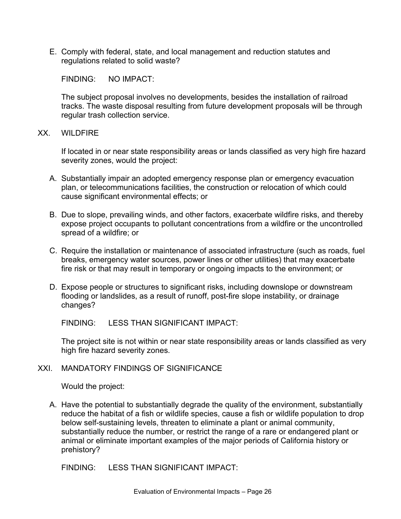E. Comply with federal, state, and local management and reduction statutes and regulations related to solid waste?

FINDING: NO IMPACT:

The subject proposal involves no developments, besides the installation of railroad tracks. The waste disposal resulting from future development proposals will be through regular trash collection service.

#### XX. WILDFIRE

If located in or near state responsibility areas or lands classified as very high fire hazard severity zones, would the project:

- A. Substantially impair an adopted emergency response plan or emergency evacuation plan, or telecommunications facilities, the construction or relocation of which could cause significant environmental effects; or
- B. Due to slope, prevailing winds, and other factors, exacerbate wildfire risks, and thereby expose project occupants to pollutant concentrations from a wildfire or the uncontrolled spread of a wildfire; or
- C. Require the installation or maintenance of associated infrastructure (such as roads, fuel breaks, emergency water sources, power lines or other utilities) that may exacerbate fire risk or that may result in temporary or ongoing impacts to the environment; or
- D. Expose people or structures to significant risks, including downslope or downstream flooding or landslides, as a result of runoff, post-fire slope instability, or drainage changes?

FINDING: LESS THAN SIGNIFICANT IMPACT:

The project site is not within or near state responsibility areas or lands classified as very high fire hazard severity zones.

## XXI. MANDATORY FINDINGS OF SIGNIFICANCE

Would the project:

A. Have the potential to substantially degrade the quality of the environment, substantially reduce the habitat of a fish or wildlife species, cause a fish or wildlife population to drop below self-sustaining levels, threaten to eliminate a plant or animal community, substantially reduce the number, or restrict the range of a rare or endangered plant or animal or eliminate important examples of the major periods of California history or prehistory?

FINDING: LESS THAN SIGNIFICANT IMPACT: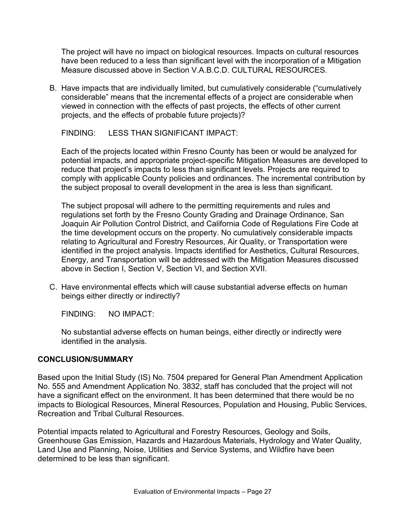The project will have no impact on biological resources. Impacts on cultural resources have been reduced to a less than significant level with the incorporation of a Mitigation Measure discussed above in Section V.A.B.C.D. CULTURAL RESOURCES.

B. Have impacts that are individually limited, but cumulatively considerable ("cumulatively considerable" means that the incremental effects of a project are considerable when viewed in connection with the effects of past projects, the effects of other current projects, and the effects of probable future projects)?

FINDING: LESS THAN SIGNIFICANT IMPACT:

Each of the projects located within Fresno County has been or would be analyzed for potential impacts, and appropriate project-specific Mitigation Measures are developed to reduce that project's impacts to less than significant levels. Projects are required to comply with applicable County policies and ordinances. The incremental contribution by the subject proposal to overall development in the area is less than significant.

The subject proposal will adhere to the permitting requirements and rules and regulations set forth by the Fresno County Grading and Drainage Ordinance, San Joaquin Air Pollution Control District, and California Code of Regulations Fire Code at the time development occurs on the property. No cumulatively considerable impacts relating to Agricultural and Forestry Resources, Air Quality, or Transportation were identified in the project analysis. Impacts identified for Aesthetics, Cultural Resources, Energy, and Transportation will be addressed with the Mitigation Measures discussed above in Section I, Section V, Section VI, and Section XVII.

C. Have environmental effects which will cause substantial adverse effects on human beings either directly or indirectly?

FINDING: NO IMPACT:

No substantial adverse effects on human beings, either directly or indirectly were identified in the analysis.

## **CONCLUSION/SUMMARY**

Based upon the Initial Study (IS) No. 7504 prepared for General Plan Amendment Application No. 555 and Amendment Application No. 3832, staff has concluded that the project will not have a significant effect on the environment. It has been determined that there would be no impacts to Biological Resources, Mineral Resources, Population and Housing, Public Services, Recreation and Tribal Cultural Resources.

Potential impacts related to Agricultural and Forestry Resources, Geology and Soils, Greenhouse Gas Emission, Hazards and Hazardous Materials, Hydrology and Water Quality, Land Use and Planning, Noise, Utilities and Service Systems, and Wildfire have been determined to be less than significant.